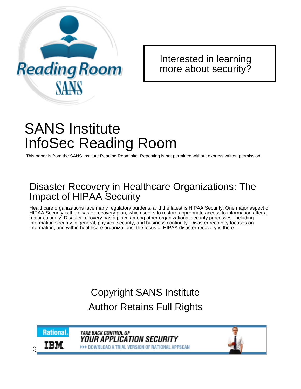

[Interested in learning](http://www.sans.org/info/36923) more about security?

# SANS Institute InfoSec Reading Room

This paper is from the SANS Institute Reading Room site. Reposting is not permitted without express written permission.

## Disaster Recovery in Healthcare Organizations: The Impact of HIPAA Security

Healthcare organizations face many regulatory burdens, and the latest is HIPAA Security. One major aspect of HIPAA Security is the disaster recovery plan, which seeks to restore appropriate access to information after a major calamity. Disaster recovery has a place among other organizational security processes, including information security in general, physical security, and business continuity. Disaster recovery focuses on information, and within healthcare organizations, the focus of HIPAA disaster recovery is the e...

# Copyright SANS Institute [Author Retains Full Rights](http://www.sans.org/info/36914)



**TAKE BACK CONTROL OF** *Your application security* **>>> DOWNLOAD A TRIAL VERSION OF RATIONAL APPSCAN** 

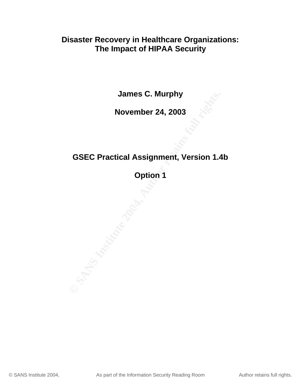## **Disaster Recovery in Healthcare Organizations: The Impact of HIPAA Security**

**James C. Murphy**

## **November 24, 2003**

## **GSEC Practical Assignment, Version 1.4b**

**Option 1**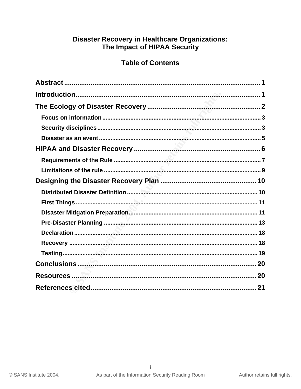# Disaster Recovery in Healthcare Organizations:<br>The Impact of HIPAA Security

## **Table of Contents**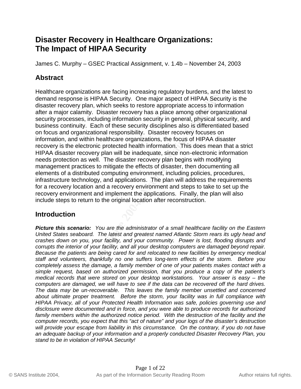## **Disaster Recovery in Healthcare Organizations: The Impact of HIPAA Security**

James C. Murphy – GSEC Practical Assignment, v. 1.4b – November 24, 2003

## **Abstract**

**Symmally distitute and increases the distinguish of symmal symmally and the constrainty. Disenses, including information security in general, physical secures sesses, including information security in general, physical se** Healthcare organizations are facing increasing regulatory burdens, and the latest to demand response is HIPAA Security. One major aspect of HIPAA Security is the disaster recovery plan, which seeks to restore appropriate access to information after a major calamity. Disaster recovery has a place among other organizational security processes, including information security in general, physical security, and business continuity. Each of these security disciplines also is differentiated based on focus and organizational responsibility. Disaster recovery focuses on information, and within healthcare organizations, the focus of HIPAA disaster recovery is the electronic protected health information. This does mean that a strict HIPAA disaster recovery plan will be inadequate, since non-electronic information needs protection as well. The disaster recovery plan begins with modifying management practices to mitigate the effects of disaster, then documenting all elements of a distributed computing environment, including policies, procedures, infrastructure technology, and applications. The plan will address the requirements for a recovery location and a recovery environment and steps to take to set up the recovery environment and implement the applications. Finally, the plan will also include steps to return to the original location after reconstruction.

## **Introduction**

*Picture this scenario: You are the administrator of a small healthcare facility on the Eastern United States seaboard. The latest and greatest named Atlantic Storm rears its ugly head and crashes down on you, your facility, and your community. Power is lost, flooding disrupts and corrupts the interior of your facility, and all your desktop computers are damaged beyond repair. Because the patients are being cared for and relocated to new facilities by emergency medical staff and volunteers, thankfully no one suffers long-term effects of the storm. Before you completely assess the damage, a family member of one of your patients makes contact with a simple request, based on authorized permission, that you produce a copy of the patient's medical records that were stored on your desktop workstations. Your answer is easy – the computers are damaged, we will have to see if the data can be recovered off the hard drives. The data may be un-recoverable. This leaves the family member unsettled and concerned about ultimate proper treatment. Before the storm, your facility was in full compliance with HIPAA Privacy, all of your Protected Health Information was safe, policies governing use and disclosure were documented and in force, and you were able to produce records for authorized*  family members within the authorized notice period. With the destruction of the facility and the *computer records, you expect that this "act of nature" and your logs of the disaster's destruction*  will provide your escape from liability in this circumstance. On the contrary, if you do not have *an adequate backup of your information and a properly conducted Disaster Recovery Plan, you stand to be in violation of HIPAA Security!*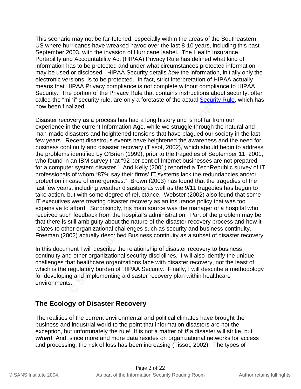This scenario may not be far-fetched, especially within the areas of the Southeastern US where hurricanes have wreaked havoc over the last 8-10 years, including this past September 2003, with the invasion of Hurricane Isabel. The Health Insurance Portability and Accountability Act (HIPAA) Privacy Rule has defined what kind of information has to be protected and under what circumstances protected information may be used or disclosed. HIPAA Security details *how* the information, initially only the electronic versions, is to be protected. In fact, strict interpretation of HIPAA actually means that HIPAA Privacy compliance is not complete without compliance to HIPAA Security. The portion of the Privacy Rule that contains instructions about security, often called the "mini" security rule, are only a foretaste of the actual **Security Rule**, which has now been finalized.

ighouri of the Privacy Rule that contains instructions about<br>in the potion of the Privacy Rule that contains instructions about<br>alized.<br>Decority rule, are only a foretaste of the actual Security<br>alized.<br>Devery as a process expensive to afford. Surprisingly, his main source was the manager of a hospital who Disaster recovery as a process has had a long history and is not far from our experience in the current Information Age, while we struggle through the natural and man-made disasters and heightened tensions that have plagued our society in the last few years. Recent disastrous events have heightened the awareness and the need for business continuity and disaster recovery (Tissot, 2002), which should begin to address the problems identified by O'Brien (1999), prior to the tragedies of September 11, 2001, who found in an IBM survey that "92 per cent of Internet businesses are not prepared for a computer system disaster." And Kelly (2001) reported a TechRepublic survey of IT professionals of whom "87% say their firms' IT systems lack the redundancies and/or protection in case of emergencies." Brown (2003) has found that the tragedies of the last few years, including weather disasters as well as the 9/11 tragedies has begun to take action, but with some degree of reluctance. Webster (2002) also found that some IT executives were treating disaster recovery as an insurance policy that was too received such feedback from the hospital's administration! Part of the problem may be that there is still ambiguity about the nature of the disaster recovery process and how it relates to other organizational challenges such as security and business continuity. Freeman (2002) actually described Business continuity as a subset of disaster recovery.

In this document I will describe the relationship of disaster recovery to business continuity and other organizational security disciplines. I will also identify the unique challenges that healthcare organizations face with disaster recovery, not the least of which is the regulatory burden of HIPAA Security. Finally, I will describe a methodology for developing and implementing a disaster recovery plan within healthcare environments.

## **The Ecology of Disaster Recovery**

The realities of the current environmental and political climates have brought the business and industrial world to the point that information disasters are not the exception, but unfortunately the rule! It is not a matter of *if* a disaster will strike, but *when!* And, since more and more data resides on organizational networks for access and processing, the risk of loss has been increasing (Tissot, 2002). The types of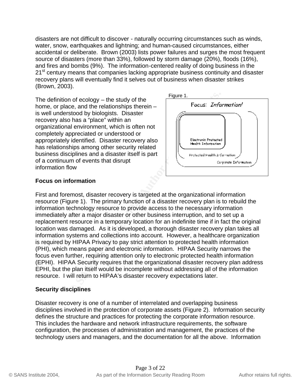disasters are not difficult to discover - naturally occurring circumstances such as winds, water, snow, earthquakes and lightning; and human-caused circumstances, either accidental or deliberate. Brown (2003) lists power failures and surges the most frequent source of disasters (more than 33%), followed by storm damage (20%), floods (16%), and fires and bombs (9%). The information-centered reality of doing business in the 21<sup>st</sup> century means that companies lacking appropriate business continuity and disaster recovery plans will eventually find it selves out of business when disaster strikes (Brown, 2003).

The definition of ecology – the study of the home, or place, and the relationships therein – is well understood by biologists. Disaster recovery also has a "place" within an organizational environment, which is often not completely appreciated or understood or appropriately identified. Disaster recovery also has relationships among other security related business disciplines and a disaster itself is part of a continuum of events that disrupt information flow



#### **Focus on information**

n of ecology – the study of the<br>
ce, and the relationships therein –<br>
stood by biologists. Disaster<br>
o has a "place" within an<br>
al environment, which is often not<br>
preciated or understood or<br>
intention. The primary functio information technology resource to provide access to the necessary information First and foremost, disaster recovery is targeted at the organizational information resource (Figure 1). The primary function of a disaster recovery plan is to rebuild the immediately after a major disaster or other business interruption, and to set up a replacement resource in a temporary location for an indefinite time if in fact the original location was damaged. As it is developed, a thorough disaster recovery plan takes all information systems and collections into account. However, a healthcare organization is required by HIPAA Privacy to pay strict attention to protected health information (PHI), which means paper and electronic information. HIPAA Security narrows the focus even further, requiring attention only to electronic protected health information (EPHI). HIPAA Security requires that the organizational disaster recovery plan address EPHI, but the plan itself would be incomplete without addressing all of the information resource. I will return to HIPAA's disaster recovery expectations later.

#### **Security disciplines**

Disaster recovery is one of a number of interrelated and overlapping business disciplines involved in the protection of corporate assets (Figure 2). Information security defines the structure and practices for protecting the corporate information resource. This includes the hardware and network infrastructure requirements, the software configuration, the processes of administration and management, the practices of the technology users and managers, and the documentation for all the above. Information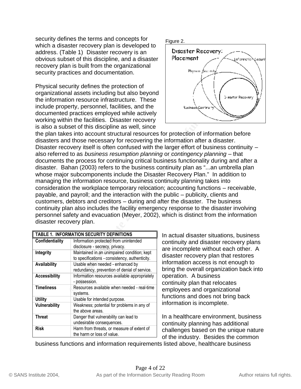security defines the terms and concepts for which a disaster recovery plan is developed to address. (Table 1) Disaster recovery is an obvious subset of this discipline, and a disaster recovery plan is built from the organizational security practices and documentation.

Physical security defines the protection of organizational assets including but also beyond the information resource infrastructure. These include property, personnel, facilities, and the documented practices employed while actively working within the facilities. Disaster recovery is also a subset of this discipline as well, since



and assets including but also beyond<br>
mon resource infrastructure. These<br>
prixtices employed while actively<br>
in the facilities. Disaster recovery<br>
in the facilities is listed in the count structural resources for protectio continuity plan also includes the facility emergency response to the disaster involving the plan takes into account structural resources for protection of information before disasters and those necessary for recovering the information after a disaster. Disaster recovery itself is often confused with the larger effort of business continuity – also referred to as *business resumption planning* or *contingency planning* – that documents the process for continuing critical business functionality during and after a disaster. Bahan (2003) refers to the business continuity plan as "...an umbrella plan whose major subcomponents include the Disaster Recovery Plan." In addition to managing the information resource, business continuity planning takes into consideration the workplace temporary relocation; accounting functions – receivable, payable, and payroll; and the interaction with the public – publicity, clients and customers, debtors and creditors – during and after the disaster. The business personnel safety and evacuation (Meyer, 2002), which is distinct from the information disaster recovery plan.

| TABLE 1. INFORMATION SECURITY DEFINITIONS |                                                                                               |  |  |
|-------------------------------------------|-----------------------------------------------------------------------------------------------|--|--|
| Confidentiality                           | Information protected from unintended<br>disclosure - secrecy, privacy.                       |  |  |
| Integrity                                 | Maintained in an unimpaired condition; kept<br>to specifications - consistency, authenticity. |  |  |
| Availability                              | Usable when needed - enhanced by<br>redundancy, prevention of denial of service.              |  |  |
| <b>Accessibility</b>                      | Information resources available appropriately<br>- possession.                                |  |  |
| <b>Timeliness</b>                         | Resources available when needed - real-time<br>systems.                                       |  |  |
| <b>Utility</b>                            | Usable for intended purpose.                                                                  |  |  |
| <b>Vulnerability</b>                      | Weakness; potential for problems in any of<br>the above areas.                                |  |  |
| <b>Threat</b>                             | Danger that vulnerability can lead to<br>undesirable consequences.                            |  |  |
| <b>Risk</b>                               | Harm from threats, or measure of extent of<br>the harm or loss of value.                      |  |  |

In actual disaster situations, business continuity and disaster recovery plans are incomplete without each other. A disaster recovery plan that restores information access is not enough to bring the overall organization back into operation. A business continuity plan that relocates employees and organizational functions and does not bring back information is incomplete.

In a healthcare environment, business continuity planning has additional challenges based on the unique nature of the industry. Besides the common

business functions and information requirements listed above, healthcare business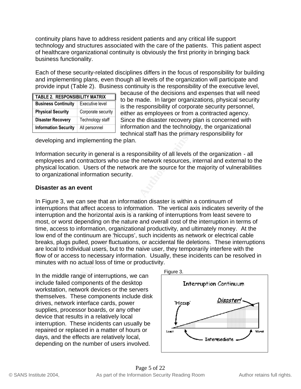continuity plans have to address resident patients and any critical life support technology and structures associated with the care of the patients. This patient aspect of healthcare organizational continuity is obviously the first priority in bringing back business functionality.

Each of these security-related disciplines differs in the focus of responsibility for building and implementing plans, even though all levels of the organization will participate and provide input (Table 2). Business continuity is the responsibility of the executive level,

| <b>TABLE 2. RESPONSIBILITY MATRIX</b>         |                    |  |
|-----------------------------------------------|--------------------|--|
| <b>Business Continuity</b><br>Executive level |                    |  |
| <b>Physical Security</b>                      | Corporate security |  |
| <b>Disaster Recovery</b>                      | Technology staff   |  |
| <b>Information Security</b>                   | All personnel      |  |

because of the decisions and expenses that will need to be made. In larger organizations, physical security is the responsibility of corporate security personnel, either as employees or from a contracted agency. Since the disaster recovery plan is concerned with information and the technology, the organizational technical staff has the primary responsibility for

developing and implementing the plan.

Information security in general is a responsibility of all levels of the organization - all employees and contractors who use the network resources, internal and external to the physical location. Users of the network are the source for the majority of vulnerabilities to organizational information security.

#### **Disaster as an event**

**Executive lineary and the decisions and experience of the definition of the definition, the copy of Corporat Supply and the test of the responsibility of corporate security enter an employees or from a contracted informat** interruptions that affect access to information. The vertical axis indicates severity of the In Figure 3, we can see that an information disaster is within a continuum of interruption and the horizontal axis is a ranking of interruptions from least severe to most, or worst depending on the nature and overall cost of the interruption in terms of time, access to information, organizational productivity, and ultimately money. At the low end of the continuum are 'hiccups', such incidents as network or electrical cable breaks, plugs pulled, power fluctuations, or accidental file deletions. These interruptions are local to individual users, but to the naive user, they temporarily interfere with the flow of or access to necessary information. Usually, these incidents can be resolved in minutes with no actual loss of time or productivity.

In the middle range of interruptions, we can include failed components of the desktop workstation, network devices or the servers themselves. These components include disk drives, network interface cards, power supplies, processor boards, or any other device that results in a relatively local interruption. These incidents can usually be repaired or replaced in a matter of hours or days, and the effects are relatively local, depending on the number of users involved.

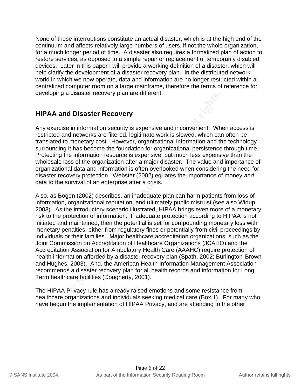None of these interruptions constitute an actual disaster, which is at the high end of the continuum and affects relatively large numbers of users, if not the whole organization, for a much longer period of time. A disaster also requires a formalized plan of action to restore services, as opposed to a simple repair or replacement of temporarily disabled devices. Later in this paper I will provide a working definition of a disaster, which will help clarify the development of a disaster recovery plan. In the distributed network world in which we now operate, data and information are no longer restricted within a centralized computer room on a large mainframe, therefore the terms of reference for developing a disaster recovery plan are different.

## **HIPAA and Disaster Recovery**

Any exercise in information security is expensive and inconvenient. When access is restricted and networks are filtered, legitimate work is slowed, which can often be translated to monetary cost. However, organizational information and the technology surrounding it has become the foundation for organizational persistence through time. Protecting the information resource is expensive, but much less expensive than the wholesale loss of the organization after a major disaster. The value and importance of organizational data and information is often overlooked when considering the need for disaster recovery protection. Webster (2002) equates the importance of money *and* data to the survival of an enterprise after a crisis.

**Considerative Considerial Considerial Considerial Consider Authorize Theorem Sandard Chiesa Finderic Authoric mometary cost. However, organizational information and this has become the foundation for organizational persis** 2003). As the introductory scenario illustrated, HIPAA brings even more of a monetary Also, as Bogen (2002) describes, an inadequate plan can harm patients from loss of information, organizational reputation, and ultimately public mistrust (see also Widup, risk to the protection of information. If adequate protection according to HIPAA is not initiated and maintained, then the potential is set for compounding monetary loss with monetary penalties, either from regulatory fines or potentially from civil proceedings by individuals or their families. Major healthcare accreditation organizations, such as the Joint Commission on Accreditation of Healthcare Organizations (JCAHO) and the Accreditation Association for Ambulatory Health Care (AAAHC) require protection of health information afforded by a disaster recovery plan (Spath, 2002; Burlington-Brown and Hughes, 2003). And, the American Health Information Management Association recommends a disaster recovery plan for all health records and information for Long Term healthcare facilities (Dougherty, 2001).

The HIPAA Privacy rule has already raised emotions and some resistance from healthcare organizations and individuals seeking medical care (Box 1). For many who have begun the implementation of HIPAA Privacy, and are attending to the other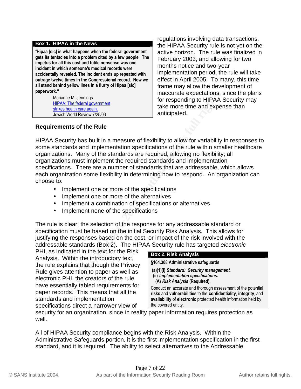#### **Box 1. HIPAA in the News**

"**Hipaa [sic] is what happens when the federal government gets its tentacles into a problem cited by a few people. The impetus for all this cost and futile nonsense was one incident in which someone's medical records were accidentally revealed. The incident ends up repeated with outrage twelve times in the Congressional record. Now we all stand behind yellow lines in a flurry of Hipaa [sic] paperwork."**

> Marianne M. Jennings HIPAA: The federal government strikes health care again. Jewish World Review 7/25/03

regulations involving data transactions, the HIPAA Security rule is not yet on the active horizon. The rule was finalized in February 2003, and allowing for two months notice and two-year implementation period, the rule will take effect in April 2005. To many, this time frame may allow the development of inaccurate expectations, since the plans for responding to HIPAA Security may take more time and expense than anticipated.

#### **Requirements of the Rule**

**Example 1.1** Internation and the terret precision is the federal government<br> **Contain the constrained and the constrained and experiment that the more time and experiments and implementation specifications of the rule wit** HIPAA Security has built in a measure of flexibility to allow for variability in responses to some standards and implementation specifications of the rule within smaller healthcare organizations. Many of the standards are required, allowing no flexibility; all organizations must implement the required standards and implementation specifications. There are a number of standards that are addressable, which allows each organization some flexibility in determining how to respond. An organization can choose to:

- Implement one or more of the specifications
- Implement one or more of the alternatives
- Implement a combination of specifications or alternatives
- Implement none of the specifications

The rule is clear; the selection of the response for any addressable standard or specification must be based on the initial Security Risk Analysis. This allows for justifying the responses based on the cost, or impact of the risk involved with the addressable standards (Box 2). The HIPAA Security rule has targeted *electronic*

PHI, as indicated in the text for the Risk Analysis. Within the introductory text, the rule explains that though the Privacy Rule gives attention to paper as well as electronic PHI, the creators of the rule have essentially tabled requirements for paper records. This means that all the standards and implementation specifications direct a narrower view of

#### **Box 2. Risk Analysis**

**§164.308 Administrative safeguards**

 **(a)(1)(i)** *Standard: Security management.*  **(ii)** *Implementation specifications.*  **(A)** *Risk Analysis* **(Required).**

Conduct an accurate and thorough assessment of the potential **risks** and **vulnerabilities** to the **confidentiality**, **integrity**, and **availability** of **electronic** protected health information held by the covered entity.

security for an organization, since in reality paper information requires protection as well.

All of HIPAA Security compliance begins with the Risk Analysis. Within the Administrative Safeguards portion, it is the first implementation specification in the first standard, and it is required. The ability to select alternatives to the Addressable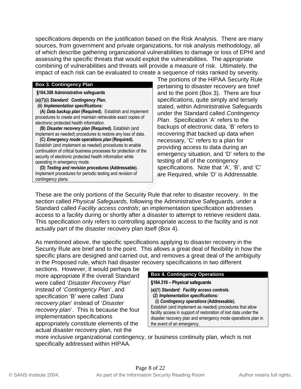specifications depends on the justification based on the Risk Analysis. There are many sources, from government and private organizations, for risk analysis methodology, all of which describe gathering organizational vulnerabilities to damage or loss of EPHI and assessing the specific threats that would exploit the vulnerabilities. The appropriate combining of vulnerabilities and threats will provide a measure of risk. Ultimately, the impact of each risk can be evaluated to create a sequence of risks ranked by severity.

#### **Box 3. Contingency Plan**

**§164.308 Administrative safeguards**

**(a)(7)(i)** *Standard: Contingency Plan.*

 **(ii)** *Implementation specifications:*

 **(A)** *Data backup plan* **(Required).** Establish and implement procedures to create and maintain retrievable exact copies of electronic protected health information.

 **(B)** *Disaster recovery plan* **(Required).** Establish (and implement as needed) procedures to restore any loss of data.

 **(C)** *Emergency mode operations plan* **(Required).**  Establish (and implement as needed) procedures to enable continuation of critical business processes for protection of the security of electronic protected health information while operating in emergency mode.

 **(D)** *Testing and revision procedures* **(Addressable).**  Implement procedures for periodic testing and revision of contingency plans.

The portions of the HIPAA Security Rule pertaining to disaster recovery are brief and to the point (Box 3). There are four specifications, quite simply and tersely stated, within Administrative Safeguards under the Standard called *Contingency Plan*. Specification 'A' refers to the backups of electronic data, 'B' refers to recovering that backed up data when necessary, 'C' refers to a plan for providing access to data during an emergency situation, and 'D' refers to the testing of all of the contingency specifications. Note that 'A', 'B', and 'C' are Required, while 'D' is Addressable.

**Stative Server and the security of the server and the paint of the paint (Box 4)**<br> **Contingency Plan.** Specifications, quite simplement<br>
le and manthain retievable exact copies of the Standard called the standard called t Standard called Facility access controls; an implementation specification addresses These are the only portions of the Security Rule that refer to disaster recovery. In the section called *Physical Safeguards*, following the Administrative Safeguards, under a access to a facility during or shortly after a disaster to attempt to retrieve resident data. This specification only refers to controlling appropriate access to the facility and is not actually part of the disaster recovery plan itself (Box 4).

As mentioned above, the specific specifications applying to disaster recovery in the Security Rule are brief and to the point. This allows a great deal of flexibility in how the specific plans are designed and carried out, and removes a great deal of the ambiguity in the Proposed rule, which had disaster recovery specifications in two different

sections. However, it would perhaps be more appropriate if the overall Standard were called '*Disaster Recovery Plan*' instead of '*Contingency Plan*', and specification 'B' were called '*Data recovery plan*' instead of '*Disaster recovery plan*'. This is because the four implementation specifications appropriately constitute elements of the actual disaster recovery plan, not the

#### **Box 4. Contingency Operations**

- **§164.310 – Physical safeguards**
- **(a)(1)** *Standard: Facility access controls.*
	- **(2)** *Implementation specifications:*
- **(i)** *Contingency operations* **(Addressable).**

Establish (and implement as needed) procedures that allow facility access in support of restoration of lost data under the disaster recovery plan and emergency mode operations plan in the event of an emergency.

more inclusive organizational contingency, or business continuity plan, which is not specifically addressed within HIPAA.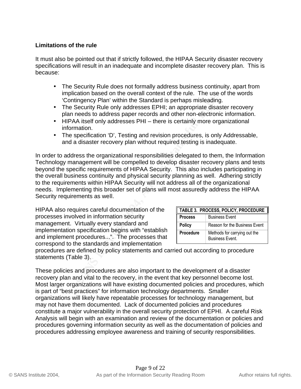#### **Limitations of the rule**

It must also be pointed out that if strictly followed, the HIPAA Security disaster recovery specifications will result in an inadequate and incomplete disaster recovery plan. This is because:

- The Security Rule does not formally address business continuity, apart from implication based on the overall context of the rule. The use of the words 'Contingency Plan' within the Standard is perhaps misleading.
- The Security Rule only addresses EPHI; an appropriate disaster recovery plan needs to address paper records and other non-electronic information.
- HIPAA itself only addresses PHI there is certainly more organizational information.
- The specification 'D', Testing and revision procedures, is only Addressable, and a disaster recovery plan without required testing is inadequate.

plication based on the overall context of the use of the use of the content<br>ontingency Plan' within the Standard is perhaps misleading.<br>
e Security Rule only addresses EPHI; an appropriate disas<br>
an needs to address paper In order to address the organizational responsibilities delegated to them, the Information Technology management will be compelled to develop disaster recovery plans and tests beyond the specific requirements of HIPAA Security. This also includes participating in the overall business continuity and physical security planning as well. Adhering strictly to the requirements within HIPAA Security will not address all of the organizational needs. Implementing this broader set of plans will most assuredly address the HIPAA Security requirements as well.

HIPAA also requires careful documentation of the **FABLE 3. PROCESS, POLIC** processes involved in information security management. Virtually every standard and implementation specification begins with "establish and implement procedures...". The processes that correspond to the standards and implementation

| TABLE 3. PROCESS, POLICY, PROCEDURE |                                                        |  |
|-------------------------------------|--------------------------------------------------------|--|
| <b>Process</b>                      | <b>Business Event</b>                                  |  |
| <b>Policy</b>                       | Reason for the Business Event                          |  |
| <b>Procedure</b>                    | Methods for carrying out the<br><b>Business Event.</b> |  |

procedures are defined by policy statements and carried out according to procedure statements (Table 3).

These policies and procedures are also important to the development of a disaster recovery plan and vital to the recovery, in the event that key personnel become lost. Most larger organizations will have existing documented policies and procedures, which is part of "best practices" for information technology departments. Smaller organizations will likely have repeatable processes for technology management, but may not have them documented. Lack of documented policies and procedures constitute a major vulnerability in the overall security protection of EPHI. A careful Risk Analysis will begin with an examination and review of the documentation or policies and procedures governing information security as well as the documentation of policies and procedures addressing employee awareness and training of security responsibilities.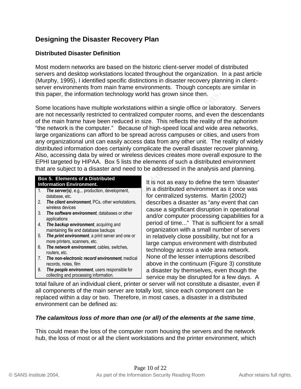## **Designing the Disaster Recovery Plan**

#### **Distributed Disaster Definition**

Most modern networks are based on the historic client-server model of distributed servers and desktop workstations located throughout the organization. In a past article (Murphy, 1995), I identified specific distinctions in disaster recovery planning in clientserver environments from main frame environments. Though concepts are similar in this paper, the information technology world has grown since then.

For the minimism of the matter of a strained and the matter of the mean base of the mean than the toteral in size. This reflects the reality of the mean than the case of thigh-speed local and wide a<br>zations can afford to b Some locations have multiple workstations within a single office or laboratory. Servers are not necessarily restricted to centralized computer rooms, and even the descendants of the main frame have been reduced in size. This reflects the reality of the aphorism "the network is the computer." Because of high-speed local and wide area networks, large organizations can afford to be spread across campuses or cities, and users from any organizational unit can easily access data from any other unit. The reality of widely distributed information does certainly complicate the overall disaster recover planning. Also, accessing data by wired or wireless devices creates more overall exposure to the EPHI targeted by HIPAA. Box 5 lists the elements of such a distributed environment that are subject to a disaster and need to be addressed in the analysis and planning.

#### **Box 5. Elements of a Distributed Information Environment.**

- 1. *The server(s)*, e.g.,. production, development, database, etc.
- 2. *The client environment*, PCs, other workstations, wireless devices
- 3. *The software environment*, databases or other applications
- 4. *The backup environment*, acquiring and maintaining file and database backups
- 5. *The print environment*, a print server and one or more printers, scanners, etc.
- 6. *The network environment*, cables, switches, routers, etc.
- 7. *The non-electronic record environment*, medical records, notes, film
- 8. *The people environment*, users responsible for collecting and processing information.

wireless devices<br>The extreme antisomerate distance on these security cause a significant disruption in operational It is not as easy to define the term 'disaster' in a distributed environment as it once was for centralized systems. Martin (2002) describes a disaster as "any event that can and/or computer processing capabilities for a period of time..." That is sufficient for a small organization with a small number of servers in relatively close possibility, but not for a large campus environment with distributed technology across a wide area network. None of the lesser interruptions described above in the continuum (Figure 3) constitute a disaster by themselves, even though the service may be disrupted for a few days. A

total failure of an individual client, printer or server will not constitute a disaster, even if all components of the main server are totally lost, since each component can be replaced within a day or two. Therefore, in most cases, a disaster in a distributed environment can be defined as:

#### *The calamitous loss of more than one (or all) of the elements at the same time*,

This could mean the loss of the computer room housing the servers and the network hub, the loss of most or all the client workstations and the printer environment, which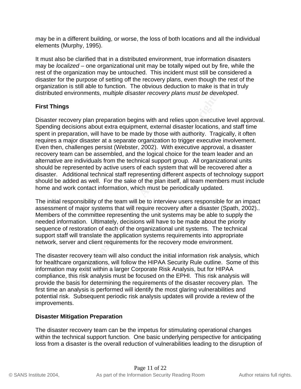may be in a different building, or worse, the loss of both locations and all the individual elements (Murphy, 1995).

It must also be clarified that in a distributed environment, true information disasters may be *localized* – one organizational unit may be totally wiped out by fire, while the rest of the organization may be untouched. This incident must still be considered a disaster for the purpose of setting off the recovery plans, even though the rest of the organization is still able to function. The obvious deduction to make is that in truly distributed environments, *multiple disaster recovery plans must be developed*.

#### **First Things**

**Example on the system full retains and the system SCC and the system of the system of the magnitricisions about extra equipment, external disaster locations, a<br>aration, will have to be made by those with authority. Tragig** Disaster recovery plan preparation begins with and relies upon executive level approval. Spending decisions about extra equipment, external disaster locations, and staff time spent in preparation, will have to be made by those with authority. Tragically, it often requires a major disaster at a separate organization to trigger executive involvement. Even then, challenges persist (Webster, 2002). With executive approval, a disaster recovery team can be assembled, and the logical choice for the team leader and an alternative are individuals from the technical support group. All organizational units should be represented by active users of each system that will be recovered after a disaster. Additional technical staff representing different aspects of technology support should be added as well. For the sake of the plan itself, all team members must include home and work contact information, which must be periodically updated.

assessment of major systems that will require recovery after a disaster (Spath, 2002).. The initial responsibility of the team will be to interview users responsible for an impact Members of the committee representing the unit systems may be able to supply the needed information. Ultimately, decisions will have to be made about the priority sequence of restoration of each of the organizational unit systems. The technical support staff will translate the application systems requirements into appropriate network, server and client requirements for the recovery mode environment.

The disaster recovery team will also conduct the initial information risk analysis, which for healthcare organizations, will follow the HIPAA Security Rule outline. Some of this information may exist within a larger Corporate Risk Analysis, but for HIPAA compliance, this risk analysis must be focused on the EPHI. This risk analysis will provide the basis for determining the requirements of the disaster recovery plan. The first time an analysis is performed will identify the most glaring vulnerabilities and potential risk. Subsequent periodic risk analysis updates will provide a review of the improvements.

#### **Disaster Mitigation Preparation**

The disaster recovery team can be the impetus for stimulating operational changes within the technical support function. One basic underlying perspective for anticipating loss from a disaster is the overall reduction of vulnerabilities leading to the disruption of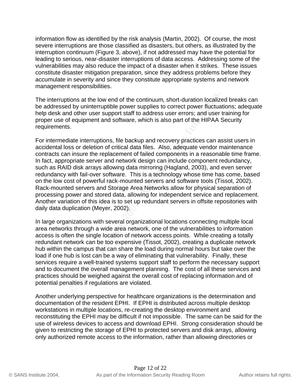information flow as identified by the risk analysis (Martin, 2002). Of course, the most severe interruptions are those classified as disasters, but others, as illustrated by the interruption continuum (Figure 3, above), if not addressed may have the potential for leading to serious, near-disaster interruptions of data access. Addressing some of the vulnerabilities may also reduce the impact of a disaster when it strikes. These issues constitute disaster mitigation preparation, since they address problems before they accumulate in severity and since they constitute appropriate systems and network management responsibilities.

The interruptions at the low end of the continuum, short-duration localized breaks can be addressed by uninterruptible power supplies to correct power fluctuations; adequate help desk and other user support staff to address user errors; and user training for proper use of equipment and software, which is also part of the HIPAA Security requirements.

tions at the low end of the continuum, short-duration localized by uninterruptible power supplies to correct power fluctuated other user support staff to address user errors; and user if equipment and software, which is al daily data duplication (Meyer, 2002). The state of the 3D Fe46 and 2D Fe46 Analysis of the 3D Fe46 A For intermediate interruptions, file backup and recovery practices can assist users in accidental loss or deletion of critical data files. Also, adequate vendor maintenance contracts can insure the replacement of failed components in a reasonable time frame. In fact, appropriate server and network design can include component redundancy, such as RAID disk arrays allowing data mirroring (Hagland, 2003), and even server redundancy with fail-over software. This is a technology whose time has come, based on the low cost of powerful rack-mounted servers and software tools (Tissot, 2002). Rack-mounted servers and Storage Area Networks allow for physical separation of processing power and stored data, allowing for independent service and replacement. Another variation of this idea is to set up redundant servers in offsite repositories with

In large organizations with several organizational locations connecting multiple local area networks through a wide area network, one of the vulnerabilities to information access is often the single location of network access points. While creating a totally redundant network can be too expensive (Tissot, 2002), creating a duplicate network hub within the campus that can share the load during normal hours but take over the load if one hub is lost can be a way of eliminating that vulnerability. Finally, these services require a well-trained systems support staff to perform the necessary support and to document the overall management planning. The cost of all these services and practices should be weighed against the overall cost of replacing information and of potential penalties if regulations are violated.

Another underlying perspective for healthcare organizations is the determination and documentation of the resident EPHI. If EPHI is distributed across multiple desktop workstations in multiple locations, re-creating the desktop environment and reconstituting the EPHI may be difficult if not impossible. The same can be said for the use of wireless devices to access and download EPHI. Strong consideration should be given to restricting the storage of EPHI to protected servers and disk arrays, allowing only authorized remote access to the information, rather than allowing directories or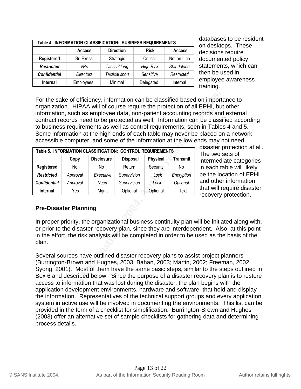| Table 4. INFORMATION CLASSIFICATION: BUSINESS REQUIREMENTS |                  |                       |                  |               |
|------------------------------------------------------------|------------------|-----------------------|------------------|---------------|
|                                                            | <b>Access</b>    | <b>Direction</b>      | <b>Risk</b>      | <b>Access</b> |
| Registered                                                 | Sr. Execs        | Strategic             | Critical         | Not on Line   |
| <b>Restricted</b>                                          | VPs              | Tactical long         | <b>High Risk</b> | Standalone    |
| <b>Confidential</b>                                        | <b>Directors</b> | <b>Tactical short</b> | Sensitive        | Restricted    |
| Internal                                                   | Employees        | Minimal               | Delegated        | Internal      |

databases to be resident on desktops. These decisions require documented policy statements, which can then be used in employee awareness training.

of efficiency, information can be classified based on import<br> **EPHI**, busued as employee data, non-patient accounting records and<br>
such as employee data, non-patient accounting records and<br>
equirements as well as control r For the sake of efficiency, information can be classified based on importance to organization. HIPAA will of course require the protection of all EPHI, but other information, such as employee data, non-patient accounting records and external contract records need to be protected as well. Information can be classified according to business requirements as well as control requirements, seen in Tables 4 and 5. Some information at the high ends of each table may never be placed on a network accessible computer, and some of the information at the low ends may not need

| Table 5. INFORMATION CLASSIFICATION: CONTROL REQUIREMENTS |          |                   |                 |                 |            |
|-----------------------------------------------------------|----------|-------------------|-----------------|-----------------|------------|
|                                                           | Copy     | <b>Disclosure</b> | <b>Disposal</b> | <b>Physical</b> | Transmit   |
| Registered                                                | No       | No                | Return          | Security        | No         |
| <b>Restricted</b>                                         | Approval | Executive         | Supervision     | Lock            | Encryption |
| <b>Confidential</b>                                       | Approval | Need              | Supervision     | Lock            | Optional   |
| <b>Internal</b>                                           | Yes      | Mgmt              | Optional        | Optional        | Text       |

disaster protection at all. The two sets of intermediate categories in each table will likely be the location of EPHI and other information that will require disaster recovery protection.

#### Key fingerprint = AF19 FA27 2F94 998D FDB5 DE3D F8B5 06E4 A169 4E46 **Pre-Disaster Planning**

In proper priority, the organizational business continuity plan will be initiated along with, or prior to the disaster recovery plan, since they are interdependent. Also, at this point in the effort, the risk analysis will be completed in order to be used as the basis of the plan.

Several sources have outlined disaster recovery plans to assist project planners (Burrington-Brown and Hughes, 2003; Bahan, 2003; Martin, 2002; Freeman, 2002; Syong, 2001). Most of them have the same basic steps, similar to the steps outlined in Box 6 and described below. Since the purpose of a disaster recovery plan is to restore access to information that was lost during the disaster, the plan begins with the application development environments, hardware and software, that hold and display the information. Representatives of the technical support groups and every application system in active use will be involved in documenting the environments. This list can be provided in the form of a checklist for simplification. Burrington-Brown and Hughes (2003) offer an alternative set of sample checklists for gathering data and determining process details.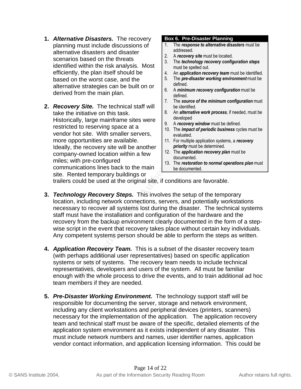- **1.** *Alternative Disasters.* The recovery planning must include discussions of alternative disasters and disaster scenarios based on the threats identified within the risk analysis. Most efficiently, the plan itself should be based on the worst case, and the alternative strategies can be built on or derived from the main plan.
- **2.** *Recovery Site.* The technical staff will take the initiative on this task. Historically, large mainframe sites were restricted to reserving space at a vendor hot site. With smaller servers, more opportunities are available. Ideally, the recovery site will be another company-owned location within a few miles; with pre-configured communications lines back to the main site. Rented temporary buildings or

#### **Box 6. Pre-Disaster Planning**

- 1. The *response to alternative disasters* must be addressed.
- 2. A *recovery site* must be located.
- 3. The *technology recovery configuration steps* must be spelled out.
- 4. An *application recovery team* must be identified.
- 5. The *pre-disaster working environment* must be defined.
- 6. A *minimum recovery configuration* must be defined.
- 7. The *source of the minimum configuration* must be identified.
- 8. An *alternative work process*, if needed, must be developed
- 9. A *recovery window* must be defined.
- 10. The *impact of periodic business* cycles must be evaluated.
- 11. For multiple application systems, a *recovery priority* must be determined.
- 12. The *application recovery plan* must be documented.
- 13. The *restoration to normal operations plan* must be documented.

trailers could be used at the original site, if conditions are favorable.

- **Example the initiality on this task.**<br>
Institution this task.<br>
In the initiality on this task.<br>
In the source of the minimum<br>
cically, large mainframe sites were<br>
tied to reserving space at a<br>
2010-mode do reserving space necessary to recover all systems lost during the disaster. The technical systems **3.** *Technology Recovery Steps.* This involves the setup of the temporary location, including network connections, servers, and potentially workstations staff must have the installation and configuration of the hardware and the recovery from the backup environment clearly documented in the form of a stepwise script in the event that recovery takes place without certain key individuals. Any competent systems person should be able to perform the steps as written.
- **4.** *Application Recovery Team.* This is a subset of the disaster recovery team (with perhaps additional user representatives) based on specific application systems or sets of systems. The recovery team needs to include technical representatives, developers and users of the system. All must be familiar enough with the whole process to drive the events, and to train additional ad hoc team members if they are needed.
- **5.** *Pre-Disaster Working Environment.* The technology support staff will be responsible for documenting the server, storage and network environment, including any client workstations and peripheral devices (printers, scanners) necessary for the implementation of the application. The application recovery team and technical staff must be aware of the specific, detailed elements of the application system environment as it exists independent of any disaster. This must include network numbers and names, user identifier names, application vendor contact information, and application licensing information. This could be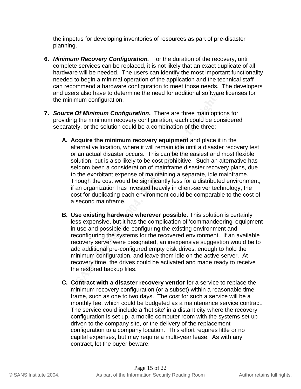the impetus for developing inventories of resources as part of pre-disaster planning.

- **6.** *Minimum Recovery Configuration.* For the duration of the recovery, until complete services can be replaced, it is not likely that an exact duplicate of all hardware will be needed. The users can identify the most important functionality needed to begin a minimal operation of the application and the technical staff can recommend a hardware configuration to meet those needs. The developers and users also have to determine the need for additional software licenses for the minimum configuration.
- **7.** *Source Of Minimum Configuration.* There are three main options for providing the minimum recovery configuration, each could be considered separately, or the solution could be a combination of the three:
- Selfs also have to determine the need for additional soliwate<br>
Figure 2004, Minimum Configuration. There are three main optic<br>
ding the minimum recovery configuration, each could be contely, or the solution could be a comb **A. Acquire the minimum recovery equipment** and place it in the alternative location, where it will remain idle until a disaster recovery test or an actual disaster occurs. This can be the easiest and most flexible solution, but is also likely to be cost prohibitive. Such an alternative has seldom been a consideration of mainframe disaster recovery plans, due to the exorbitant expense of maintaining a separate, idle mainframe. Though the cost would be significantly less for a distributed environment, if an organization has invested heavily in client-server technology, the cost for duplicating each environment could be comparable to the cost of a second mainframe.
	- **B. Use existing hardware wherever possible.** This solution is certainly less expensive, but it has the complication of 'commandeering' equipment in use and possible de-configuring the existing environment and reconfiguring the systems for the recovered environment. If an available recovery server were designated, an inexpensive suggestion would be to add additional pre-configured empty disk drives, enough to hold the minimum configuration, and leave them idle on the active server. At recovery time, the drives could be activated and made ready to receive the restored backup files.
	- **C. Contract with a disaster recovery vendor** for a service to replace the minimum recovery configuration (or a subset) within a reasonable time frame, such as one to two days. The cost for such a service will be a monthly fee, which could be budgeted as a maintenance service contract. The service could include a 'hot site' in a distant city where the recovery configuration is set up, a mobile computer room with the systems set up driven to the company site, or the delivery of the replacement configuration to a company location. This effort requires little or no capital expenses, but may require a multi-year lease. As with any contract, let the buyer beware.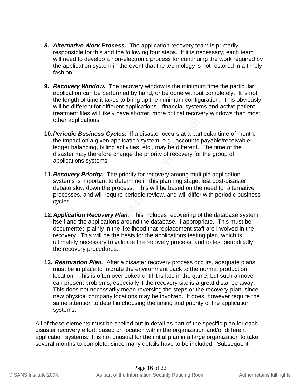- *8. Alternative Work Process.* The application recovery team is primarily responsible for this and the following four steps. If it is necessary, each team will need to develop a non-electronic process for continuing the work required by the application system in the event that the technology is not restored in a timely fashion.
- **9.** *Recovery Window.* The recovery window is the minimum time the particular application can be performed by hand, or be done without completely. It is not the length of time it takes to bring up the minimum configuration. This obviously will be different for different applications - financial systems and active patient treatment files will likely have shorter, more critical recovery windows than most other applications.
- **10.***Periodic Business Cycles.* If a disaster occurs at a particular time of month, the impact on a given application system, e.g., accounts payable/receivable, ledger balancing, billing activities, etc., may be different. The time of the disaster may therefore change the priority of recovery for the group of applications systems
- **11.***Recovery Priority.* The priority for recovery among multiple application systems is important to determine in this planning stage, lest post-disaster debate slow down the process. This will be based on the need for alternative processes, and will require periodic review, and will differ with periodic business cycles.
- adion can be performed by natio, o be done windou complete and prelimination of the it takes to bring up the minimum configuration.<br>
different for different applications financial systems and a<br>
applications.<br> **dic Busin 12.***Application Recovery Plan.* This includes recovering of the database system itself and the applications around the database, if appropriate. This must be documented plainly in the likelihood that replacement staff are involved in the recovery. This will be the basis for the applications testing plan, which is ultimately necessary to validate the recovery process, and to test periodically the recovery procedures.
- **13.** *Restoration Plan.* After a disaster recovery process occurs, adequate plans must be in place to migrate the environment back to the normal production location. This is often overlooked until it is late in the game, but such a move can present problems, especially if the recovery site is a great distance away. This does not necessarily mean reversing the steps or the recovery plan, since new physical company locations may be involved. It does, however require the same attention to detail in choosing the timing and priority of the application systems.

All of these elements must be spelled out in detail as part of the specific plan for each disaster recovery effort, based on location within the organization and/or different application systems. It is not unusual for the initial plan in a large organization to take several months to complete, since many details have to be included. Subsequent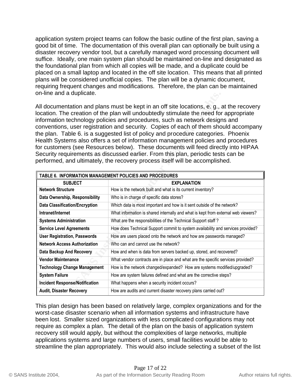application system project teams can follow the basic outline of the first plan, saving a good bit of time. The documentation of this overall plan can optionally be built using a disaster recovery vendor tool, but a carefully managed word processing document will suffice. Ideally, one main system plan should be maintained on-line and designated as the foundational plan from which all copies will be made, and a duplicate could be placed on a small laptop and located in the off site location. This means that all printed plans will be considered unofficial copies. The plan will be a dynamic document, requiring frequent changes and modifications. Therefore, the plan can be maintained on-line and a duplicate.

| All documentation and plans must be kept in an off site locations, e. g., at the recovery<br>location. The creation of the plan will undoubtedly stimulate the need for appropriate<br>information technology policies and procedures, such as network designs and<br>conventions, user registration and security. Copies of each of them should accompany<br>the plan. Table 6. is a suggested list of policy and procedure categories. Phoenix<br>Health Systems also offers a set of information management policies and procedures<br>for customers (see Resources below). These documents will feed directly into HIPAA<br>Security requirements as discussed earlier. From this plan, periodic tests can be<br>performed, and ultimately, the recovery process itself will be accomplished. |                                                                                   |  |  |  |
|---------------------------------------------------------------------------------------------------------------------------------------------------------------------------------------------------------------------------------------------------------------------------------------------------------------------------------------------------------------------------------------------------------------------------------------------------------------------------------------------------------------------------------------------------------------------------------------------------------------------------------------------------------------------------------------------------------------------------------------------------------------------------------------------------|-----------------------------------------------------------------------------------|--|--|--|
| TABLE 6. INFORMATION MANAGEMENT POLICIES AND PROCEDURES                                                                                                                                                                                                                                                                                                                                                                                                                                                                                                                                                                                                                                                                                                                                           |                                                                                   |  |  |  |
| <b>SUBJECT</b>                                                                                                                                                                                                                                                                                                                                                                                                                                                                                                                                                                                                                                                                                                                                                                                    | <b>EXPLANATION</b>                                                                |  |  |  |
| <b>Network Structure</b>                                                                                                                                                                                                                                                                                                                                                                                                                                                                                                                                                                                                                                                                                                                                                                          | How is the network built and what is its current inventory?                       |  |  |  |
| Data Ownership, Responsibility                                                                                                                                                                                                                                                                                                                                                                                                                                                                                                                                                                                                                                                                                                                                                                    | Who is in charge of specific data stores?                                         |  |  |  |
| <b>Data Classification/Encryption</b>                                                                                                                                                                                                                                                                                                                                                                                                                                                                                                                                                                                                                                                                                                                                                             | Which data is most important and how is it sent outside of the network?           |  |  |  |
| Intranet/Internet                                                                                                                                                                                                                                                                                                                                                                                                                                                                                                                                                                                                                                                                                                                                                                                 | What information is shared internally and what is kept from external web viewers? |  |  |  |
|                                                                                                                                                                                                                                                                                                                                                                                                                                                                                                                                                                                                                                                                                                                                                                                                   |                                                                                   |  |  |  |
| <b>Systems Administration</b>                                                                                                                                                                                                                                                                                                                                                                                                                                                                                                                                                                                                                                                                                                                                                                     | What are the responsibilities of the Technical Support staff?                     |  |  |  |
| <b>Service Level Agreements</b>                                                                                                                                                                                                                                                                                                                                                                                                                                                                                                                                                                                                                                                                                                                                                                   | How does Technical Support commit to system availability and services provided?   |  |  |  |
| <b>User Registration, Passwords</b>                                                                                                                                                                                                                                                                                                                                                                                                                                                                                                                                                                                                                                                                                                                                                               | How are users placed onto the network and how are passwords managed?              |  |  |  |
| <b>Network Access Authorization</b>                                                                                                                                                                                                                                                                                                                                                                                                                                                                                                                                                                                                                                                                                                                                                               | Who can and cannot use the network?                                               |  |  |  |
| <b>Data Backup And Recovery</b>                                                                                                                                                                                                                                                                                                                                                                                                                                                                                                                                                                                                                                                                                                                                                                   | How and when is data from servers backed up, stored, and recovered?               |  |  |  |
| <b>Vendor Maintenance</b>                                                                                                                                                                                                                                                                                                                                                                                                                                                                                                                                                                                                                                                                                                                                                                         | What vendor contracts are in place and what are the specific services provided?   |  |  |  |
| <b>Technology Change Management</b>                                                                                                                                                                                                                                                                                                                                                                                                                                                                                                                                                                                                                                                                                                                                                               | How is the network changed/expanded? How are systems modified/upgraded?           |  |  |  |
| <b>System Failure</b>                                                                                                                                                                                                                                                                                                                                                                                                                                                                                                                                                                                                                                                                                                                                                                             | How are system failures defined and what are the corrective steps?                |  |  |  |
| <b>Incident Response/Notification</b>                                                                                                                                                                                                                                                                                                                                                                                                                                                                                                                                                                                                                                                                                                                                                             | What happens when a security incident occurs?                                     |  |  |  |

This plan design has been based on relatively large, complex organizations and for the worst-case disaster scenario when all information systems and infrastructure have been lost. Smaller sized organizations with less complicated configurations may not require as complex a plan. The detail of the plan on the basis of application system recovery still would apply, but without the complexities of large networks, multiple applications systems and large numbers of users, small facilities would be able to streamline the plan appropriately. This would also include selecting a subset of the list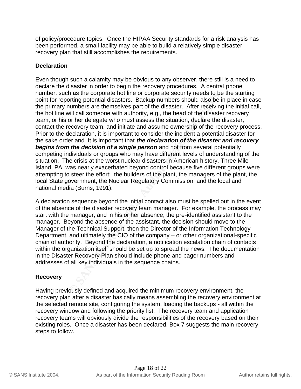of policy/procedure topics. Once the HIPAA Security standards for a risk analysis has been performed, a small facility may be able to build a relatively simple disaster recovery plan that still accomplishes the requirements.

#### **Declaration**

In as the corporate not line or corporate security freets to be<br>orting potential disasters. Backup numbers should also be in<br>umbers are themselves part of the disaster. After receiving<br>or line line some with authority, e.g Even though such a calamity may be obvious to any observer, there still is a need to declare the disaster in order to begin the recovery procedures. A central phone number, such as the corporate hot line or corporate security needs to be the starting point for reporting potential disasters. Backup numbers should also be in place in case the primary numbers are themselves part of the disaster. After receiving the initial call, the hot line will call someone with authority, e.g., the head of the disaster recovery team, or his or her delegate who must assess the situation, declare the disaster, contact the recovery team, and initiate and assume ownership of the recovery process. Prior to the declaration, it is important to consider the incident a potential disaster for the sake order and It is important that *the declaration of the disaster and recovery begins from the decision of a single person* and not from several potentially competing individuals or groups who may have different levels of understanding of the situation. The crisis at the worst nuclear disasters in American history, Three Mile Island, PA, was nearly exacerbated beyond control because five different groups were attempting to steer the effort: the builders of the plant, the managers of the plant, the local State government, the Nuclear Regulatory Commission, and the local and national media (Burns, 1991).

of the absence of the disaster recovery team manager. For example, the process may A declaration sequence beyond the initial contact also must be spelled out in the event start with the manager, and in his or her absence, the pre-identified assistant to the manager. Beyond the absence of the assistant, the decision should move to the Manager of the Technical Support, then the Director of the Information Technology Department, and ultimately the CIO of the company – or other organizational-specific chain of authority. Beyond the declaration, a notification escalation chain of contacts within the organization itself should be set up to spread the news. The documentation in the Disaster Recovery Plan should include phone and pager numbers and addresses of all key individuals in the sequence chains.

#### **Recovery**

Having previously defined and acquired the minimum recovery environment, the recovery plan after a disaster basically means assembling the recovery environment at the selected remote site, configuring the system, loading the backups - all within the recovery window and following the priority list. The recovery team and application recovery teams will obviously divide the responsibilities of the recovery based on their existing roles. Once a disaster has been declared, Box 7 suggests the main recovery steps to follow.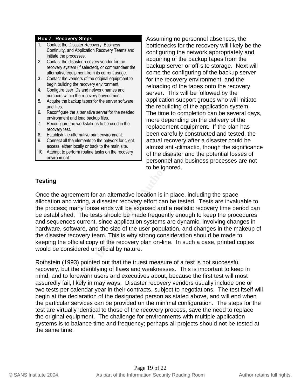#### **Box 7. Recovery Steps**

- 1. Contact the Disaster Recovery, Business Continuity, and Application Recovery Teams and initiate the processes.
- 2. Contact the disaster recovery vendor for the recovery system (if selected), or commandeer the alternative equipment from its current usage.
- 3. Contact the vendors of the original equipment to begin building the recovery environment.
- 4. Configure user IDs and network names and numbers within the recovery environment
- 5. Acquire the backup tapes for the server software and files.
- 6. Reconfigure the alternative server for the needed environment and load backup files.
- 7. Reconfigure the workstations to be used in the recovery test.
- 8. Establish the alternative print environment.
- 9. Connect all the elements to the network for client access, either locally or back to the main site.
- 10. Attempt to perform routine tasks on the recovery environment.

Assuming no personnel absences, the bottlenecks for the recovery will likely be the configuring the network appropriately and acquiring of the backup tapes from the backup server or off-site storage. Next will come the configuring of the backup server for the recovery environment, and the reloading of the tapes onto the recovery server. This will be followed by the application support groups who will initiate the rebuilding of the application system. The time to completion can be several days, more depending on the delivery of the replacement equipment. If the plan has been carefully constructed and tested, the actual recovery after a disaster could be almost anti-climactic, though the significance of the disaster and the potential losses of personnel and business processes are not to be ignored.

#### **Testing**

This the the secovery environment<br>
the the sale with the selection support groups with the altenative sever for the needed<br>
The time altenative sever for the medded the rebuilding of the application<br>
the rebuilding of the the process; many loose ends will be exposed and a realistic recovery time period can Once the agreement for an alternative location is in place, including the space allocation and wiring, a disaster recovery effort can be tested. Tests are invaluable to be established. The tests should be made frequently enough to keep the procedures and sequences current, since application systems are dynamic, involving changes in hardware, software, and the size of the user population, and changes in the makeup of the disaster recovery team. This is why strong consideration should be made to keeping the official copy of the recovery plan on-line. In such a case, printed copies would be considered unofficial by nature.

Rothstein (1993) pointed out that the truest measure of a test is not successful recovery, but the identifying of flaws and weaknesses. This is important to keep in mind, and to forewarn users and executives about, because the first test will most assuredly fail, likely in may ways. Disaster recovery vendors usually include one or two tests per calendar year in their contracts, subject to negotiations. The test itself will begin at the declaration of the designated person as stated above, and will end when the particular services can be provided on the minimal configuration. The steps for the test are virtually identical to those of the recovery process, save the need to replace the original equipment. The challenge for environments with multiple application systems is to balance time and frequency; perhaps all projects should not be tested at the same time.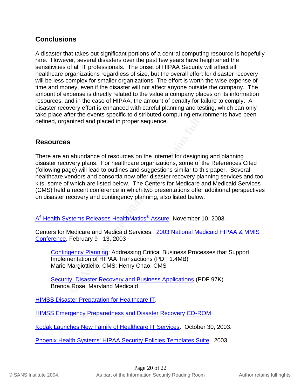## **Conclusions**

A disaster that takes out significant portions of a central computing resource is hopefully rare. However, several disasters over the past few years have heightened the sensitivities of all IT professionals. The onset of HIPAA Security will affect all healthcare organizations regardless of size, but the overall effort for disaster recovery will be less complex for smaller organizations. The effort is worth the wise expense of time and money, even if the disaster will not affect anyone outside the company. The amount of expense is directly related to the value a company places on its information resources, and in the case of HIPAA, the amount of penalty for failure to comply. A disaster recovery effort is enhanced with careful planning and testing, which can only take place after the events specific to distributed computing environments have been defined, organized and placed in proper sequence.

## **Resources**

repense is directly related to the value a company places on mort of penalty related to the amount of penalty for failure to werey effort is enhanced with careful planning and testing, wher the events specific to distribut There are an abundance of resources on the internet for designing and planning disaster recovery plans. For healthcare organizations, some of the References Cited (following page) will lead to outlines and suggestions similar to this paper. Several healthcare vendors and consortia now offer disaster recovery planning services and tool kits, some of which are listed below. The Centers for Medicare and Medicaid Services (CMS) held a recent conference in which two presentations offer additional perspectives on disaster recovery and contingency planning, also listed below.

A<sup>4</sup> Health Systems Releases HealthMatics® Assure. November 10, 2003.

Centers for Medicare and Medicaid Services. 2003 National Medicaid HIPAA & MMIS Conference, February 9 - 13, 2003

Contingency Planning: Addressing Critical Business Processes that Support Implementation of HIPAA Transactions (PDF 1.4MB) Marie Margiottiello, CMS; Henry Chao, CMS

Security: Disaster Recovery and Business Applications (PDF 97K) Brenda Rose, Maryland Medicaid

HIMSS Disaster Preparation for Healthcare IT.

HIMSS Emergency Preparedness and Disaster Recovery CD-ROM

Kodak Launches New Family of Healthcare IT Services. October 30, 2003.

Phoenix Health Systems' HIPAA Security Policies Templates Suite. 2003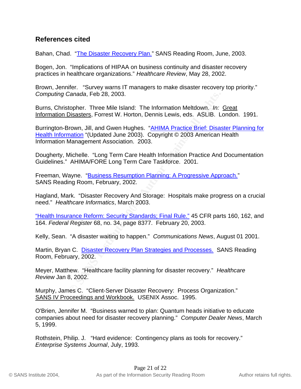### **References cited**

Bahan, Chad. "The Disaster Recovery Plan." SANS Reading Room, June, 2003.

Bogen, Jon. "Implications of HIPAA on business continuity and disaster recovery practices in healthcare organizations." *Healthcare Review*, May 28, 2002.

Brown, Jennifer. "Survey warns IT managers to make disaster recovery top priority." *Computing Canada*, Feb 28, 2003.

Burns, Christopher. Three Mile Island: The Information Meltdown. *In:* Great Information Disasters, Forrest W. Horton, Dennis Lewis, eds. ASLIB. London. 1991.

Canada, Feb 28, 2003.<br>
Depher. Three Mile Island: The Information Meltdown. *In:*<br>
<u>Disasters</u>, Forrest W. Horton, Dennis Lewis, eds. ASLIB. Luction, Unitstantion (Updated June 2003). Copyright © 2003 American I<br>
Managemen Burrington-Brown, Jill, and Gwen Hughes. "AHIMA Practice Brief: Disaster Planning for Health Information "(Updated June 2003). Copyright © 2003 American Health Information Management Association. 2003.

Dougherty, Michelle. "Long Term Care Health Information Practice And Documentation Guidelines." AHIMA/FORE Long Term Care Taskforce. 2001.

Freeman, Wayne. "Business Resumption Planning: A Progressive Approach." SANS Reading Room, February, 2002.

Hagland, Mark. "Disaster Recovery And Storage: Hospitals make progress on a crucial need." *Healthcare Informatics*, March 2003.

"Health Insurance Reform: Security Standards; Final Rule." 45 CFR parts 160, 162, and 164. *Federal Register* 68, no. 34, page 8377. February 20, 2003.

Kelly, Sean. "A disaster waiting to happen." *Communications News*, August 01 2001.

Martin, Bryan C. Disaster Recovery Plan Strategies and Processes. SANS Reading Room, February, 2002.

Meyer, Matthew. "Healthcare facility planning for disaster recovery." *Healthcare Review* Jan 8, 2002.

Murphy, James C. "Client-Server Disaster Recovery: Process Organization." SANS IV Proceedings and Workbook. USENIX Assoc. 1995.

O'Brien, Jennifer M. "Business warned to plan: Quantum heads initiative to educate companies about need for disaster recovery planning." *Computer Dealer News*, March 5, 1999.

Rothstein, Philip. J. "Hard evidence: Contingency plans as tools for recovery." *Enterprise Systems Journal*, July, 1993.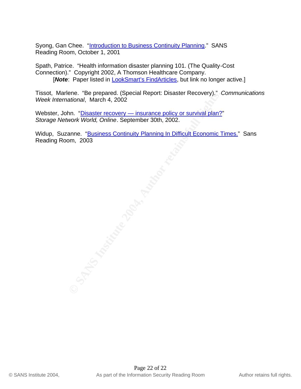Syong, Gan Chee. "Introduction to Business Continuity Planning." SANS Reading Room, October 1, 2001

Spath, Patrice. "Health information disaster planning 101. (The Quality-Cost Connection)." Copyright 2002, A Thomson Healthcare Company. [**Note**: Paper listed in **LookSmart's FindArticles**, but link no longer active.]

Tissot, Marlene. "Be prepared. (Special Report: Disaster Recovery)." *Communications Week International*, March 4, 2002

Webster, John. "Disaster recovery - insurance policy or survival plan?" *Storage Network World, Online*. September 30th, 2002.

enc. be prepared. (special Report: Disaster Recovery). (disaminal, March 4, 2002)<br>
nn. "<u>Disaster recovery — insurance policy or survival plan?</u><br>
mork World, Online. September 30th, 2002.<br>
anne. "<u>Business Continuity Plann</u> Widup, Suzanne. "Business Continuity Planning In Difficult Economic Times." Sans Reading Room, 2003